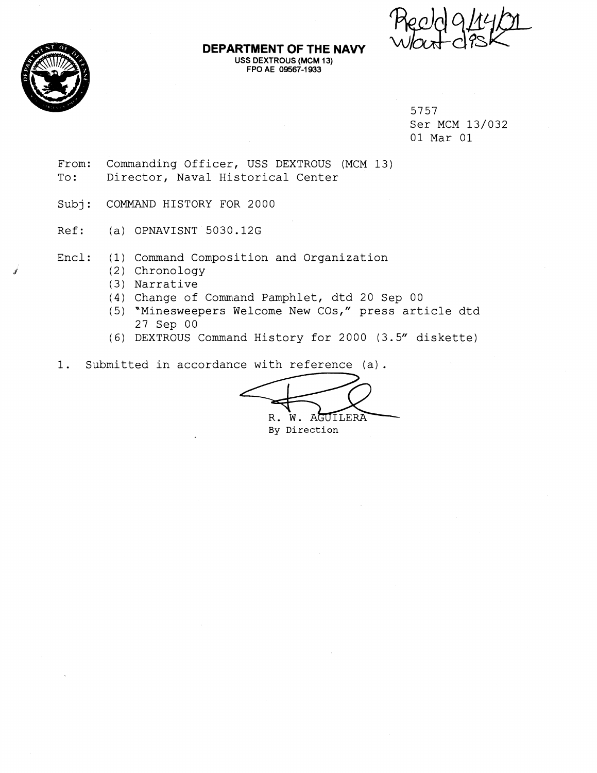

#### **DEPARTMENT OF THE NAVY USS DEXTROUS (MCM 13) FPO AE 09567-1 933**

5757 Ser MCM 13/032 01 Mar 01

- From: Commanding Officer, USS DEXTROUS (MCM 13) To: Director, Naval Historical Center
- Subj: COMMAND HISTORY FOR 2000
- Ref: (a) OPNAVISNT 5030.12G
- Encl: (1) Command Composition and Organization
	- **,ri** (2) Chronology
	- (3) Narrative
	- (4) Change of Command Pamphlet, dtd 20 Sep 00
	- (5) "Minesweepers Welcome New COs," press article dtd 27 Sep 00
	- (6) DEXTROUS Command History for 2000 (3.5" diskette)
- 1. Submitted in accordance with reference (a).

USS DEXTROUS (MCM 13)<br>
torical Center<br>
2000<br>
12G<br>
tion and Organization<br>
nd Pamphlet, dtd 20 Sep 00<br>
elcome New COS," press article dtd<br>
d History for 2000 (3.5" diskette)<br>
e with reference (a).<br>
R. W. AGUILERA<br>
By Directi **By** Direction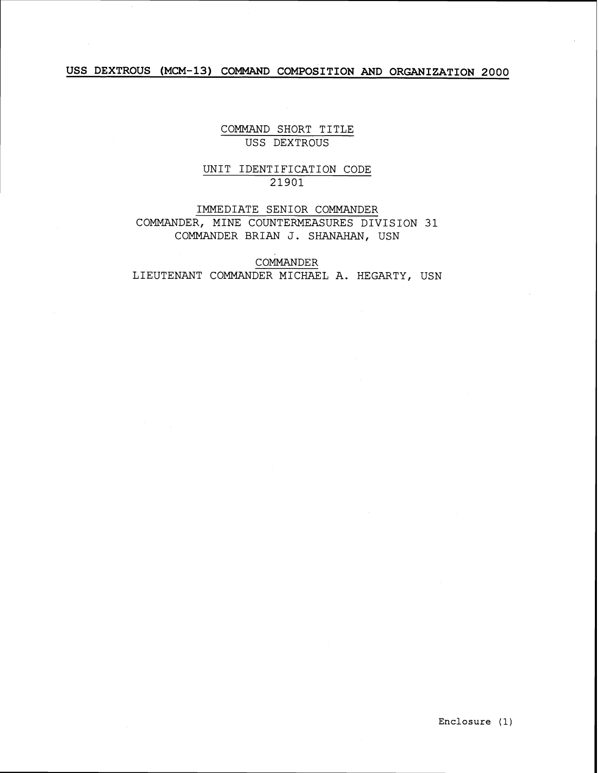# **USS DEXTROUS (MCM-13) COMMAND COMPOSITION AND ORGANIZATION 2000**

COMMAND SHORT TITLE USS DEXTROUS

## UNIT IDENTIFICATION CODE 21901

IMMEDIATE SENIOR COMMANDER COMMANDER, MINE COUNTERMEASURES DIVISION 31 COMMANDER BRIAN J. SHANAHAN, USN

COMMANDER LIEUTENANT COMMANDER MICHAEL A. HEGARTY, USN

**Enclosure** ( 1 )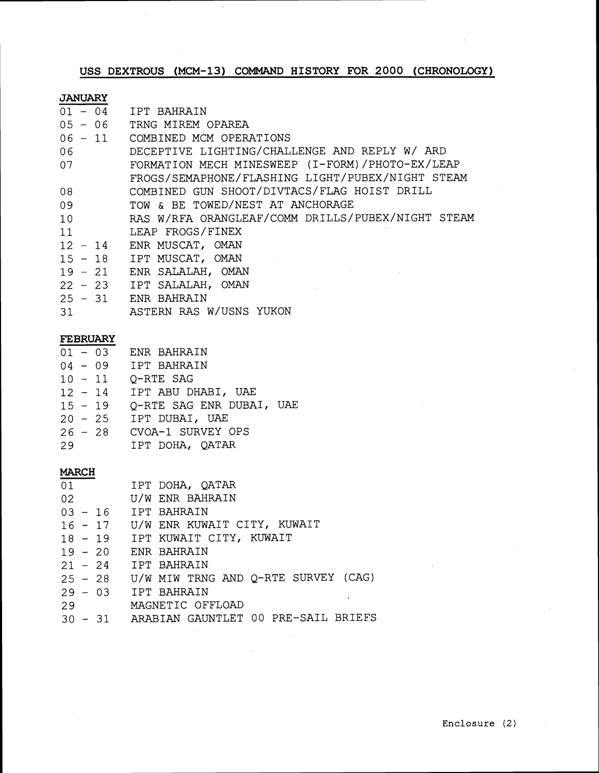**USS DEXTROUS (MCM-13) COMMAND HISTORY FOR 2000 (CHRONOLOGY)** 

 $\ddot{\phantom{a}}$ 

| <b>JANUARY</b> |                                                   |  |  |
|----------------|---------------------------------------------------|--|--|
| $01 - 04$      | IPT BAHRAIN                                       |  |  |
| $05 - 06$      | TRNG MIREM OPAREA                                 |  |  |
| $06 - 11$      | COMBINED MCM OPERATIONS                           |  |  |
| 06             | DECEPTIVE LIGHTING/CHALLENGE AND REPLY W/ ARD     |  |  |
| 07             | FORMATION MECH MINESWEEP (I-FORM)/PHOTO-EX/LEAP   |  |  |
|                | FROGS/SEMAPHONE/FLASHING LIGHT/PUBEX/NIGHT STEAM  |  |  |
| 08             | COMBINED GUN SHOOT/DIVTACS/FLAG HOIST DRILL       |  |  |
| 09             | TOW & BE TOWED/NEST AT ANCHORAGE                  |  |  |
| 10             | RAS W/RFA ORANGLEAF/COMM DRILLS/PUBEX/NIGHT STEAM |  |  |
| 11             | LEAP FROGS/FINEX                                  |  |  |
| $12 - 14$      | ENR MUSCAT, OMAN                                  |  |  |
| $15 - 18$      | IPT MUSCAT, OMAN                                  |  |  |
| $19 - 21$      | ENR SALALAH, OMAN                                 |  |  |
| $22 - 23$      | IPT SALALAH, OMAN                                 |  |  |
| $25 - 31$      | <b>FNR BAHRAIN</b>                                |  |  |
| 31             | ASTERN RAS W/USNS YUKON                           |  |  |

# **FEBRUARY**

|           | $01 - 03$ | ENR BAHRAIN              |
|-----------|-----------|--------------------------|
| $04 - 09$ |           | IPT BAHRAIN              |
| $10 - 11$ |           | O-RTE SAG                |
| $12 - 14$ |           | IPT ABU DHABI, UAE       |
| $15 - 19$ |           | Q-RTE SAG ENR DUBAI, UAE |
|           | $20 - 25$ | IPT DUBAI, UAE           |
|           | $26 - 28$ | CVOA-1 SURVEY OPS        |
| 29        |           | IPT DOHA, QATAR          |

## **MARCH**

|    | 01 | IPT DOHA, QATAR                             |
|----|----|---------------------------------------------|
|    |    | 02 U/W ENR BAHRAIN                          |
|    |    | $03 - 16$ IPT BAHRAIN                       |
|    |    | 16 - 17 U/W ENR KUWAIT CITY, KUWAIT         |
|    |    | 18 - 19 IPT KUWAIT CITY, KUWAIT             |
|    |    | 19 - 20 ENR BAHRAIN                         |
|    |    | $21 - 24$ IPT BAHRAIN                       |
|    |    | 25 - 28 U/W MIW TRNG AND Q-RTE SURVEY (CAG) |
|    |    | $29 - 03$ IPT BAHRAIN                       |
| 29 |    | MAGNETIC OFFLOAD                            |
|    |    | 30 - 31 ARABIAN GAUNTLET 00 PRE-SAIL BRIEFS |

 $\mathcal{L}_{\mathrm{c}}$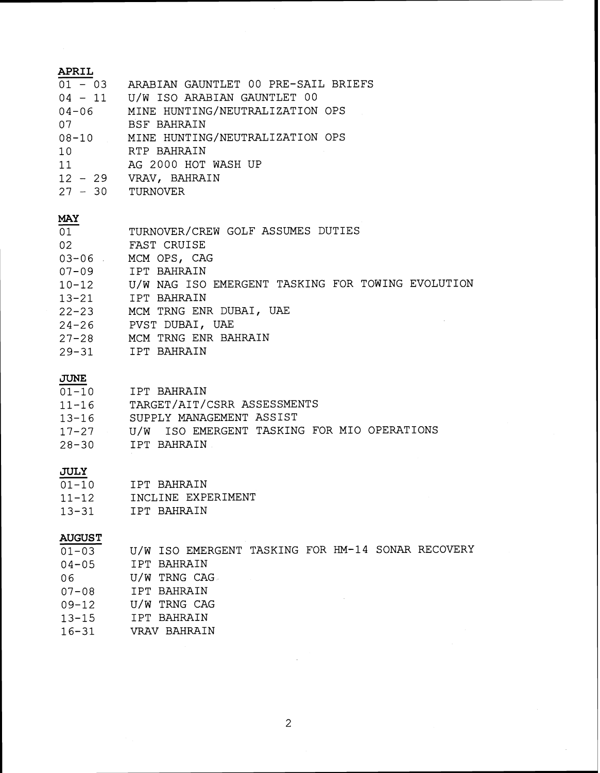| APRIL<br>07<br>10<br>$27 - 30$ TURNOVER | 01 - 03 ARABIAN GAUNTLET 00 PRE-SAIL BRIEFS<br>04 - 11 U/W ISO ARABIAN GAUNTLET 00<br>04-06 MINE HUNTING/NEUTRALIZATION OPS<br><b>BSF BAHRAIN</b><br>08-10 MINE HUNTING/NEUTRALIZATION OPS<br>RTP BAHRAIN<br>11 $\,$ AG 2000 HOT WASH UP 12 - 29 VRAV, BAHRAIN                           |
|-----------------------------------------|------------------------------------------------------------------------------------------------------------------------------------------------------------------------------------------------------------------------------------------------------------------------------------------|
| <b>MAY</b><br>01<br>02                  | TURNOVER/CREW GOLF ASSUMES DUTIES<br>FAST CRUISE<br>03-06 MCM OPS, CAG<br>07-09 IPT BAHRAIN<br>10-12 U/W NAG ISO EMERGENT TASKING FOR TOWING EVOLUTION<br>13-21 IPT BAHRAIN<br>22-23 MCM TRNG ENR DUBAI, UAE<br>24-26 PVST DUBAI, UAE<br>27-28 MCM TRNG ENR BAHRAIN<br>29-31 IPT BAHRAIN |
| <b>JUNE</b><br>$13 - 16$<br>$28 - 30$   | 01-10 IPT BAHRAIN<br>11-16 TARGET/AIT/CSRR ASSESSMENTS<br>SUPPLY MANAGEMENT ASSIST<br>17-27 U/W ISO EMERGENT TASKING FOR MIO OPERATIONS<br>IPT BAHRAIN                                                                                                                                   |
| <b>JULY</b>                             | $01-10$ IPT BAHRAIN<br>11-12 INCLINE EXPERIMENT<br>13-31 IPT BAHRAIN                                                                                                                                                                                                                     |
| <b>AUGUST</b><br>$01 - 03$              | U/W ISO EMERGENT TASKING FOR HM-14 SONAR RECOVERY                                                                                                                                                                                                                                        |

01-03 IPT BAHRAIN  $04 - 05$ U/W TRNG CAG 06 IPT BAHRAIN  $07 - 08$ U/W TRNG CAG  $09 - 12$ IPT BAHRAIN  $13 - 15$  $16 - 31$ VRAV BAHRAIN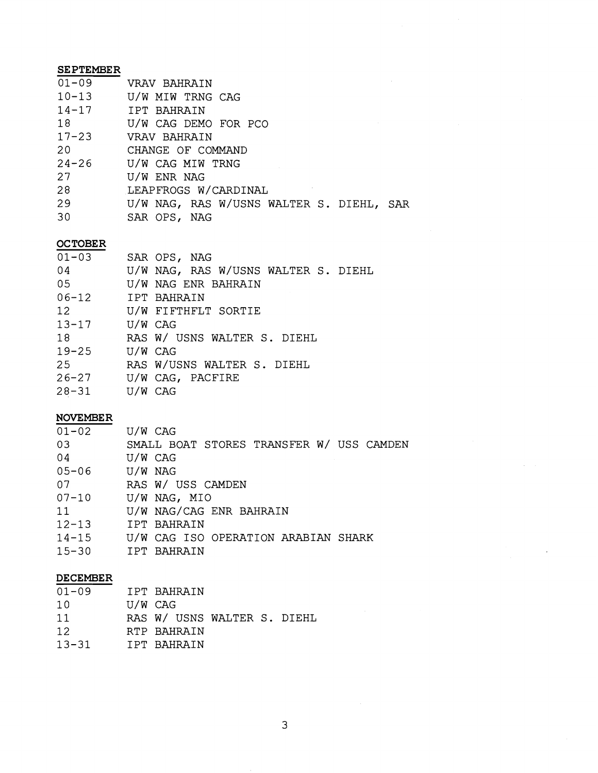## **SEPTEMBER**

| VRAV BAHRAIN                             |
|------------------------------------------|
| U/W MIW TRNG CAG                         |
| 14-17 IPT BAHRAIN                        |
| U/W CAG DEMO FOR PCO                     |
| VRAV BAHRAIN                             |
| CHANGE OF COMMAND                        |
| U/W CAG MIW TRNG                         |
| U/W ENR NAG                              |
| LEAPFROGS W/CARDINAL                     |
| U/W NAG, RAS W/USNS WALTER S. DIEHL, SAR |
| SAR OPS, NAG                             |
|                                          |

## **OCTOBER**

| $01 - 03$ |         | SAR OPS, NAG                        |
|-----------|---------|-------------------------------------|
| 04        |         | U/W NAG, RAS W/USNS WALTER S. DIEHL |
| 05        |         | U/W NAG ENR BAHRAIN                 |
| $06 - 12$ |         | IPT BAHRAIN                         |
| 12        |         | U/W FIFTHFLT SORTIE                 |
| $13 - 17$ | U/W CAG |                                     |
| 18        |         | RAS W/ USNS WALTER S. DIEHL         |
| $19 - 25$ | U/W CAG |                                     |
| 25        |         | RAS W/USNS WALTER S. DIEHL          |
| $26 - 27$ |         | U/W CAG, PACFIRE                    |
| 28-31     | U/W CAG |                                     |

## **NOVEMBER**

| $01 - 02$ | U/W CAG                                  |
|-----------|------------------------------------------|
| 03        | SMALL BOAT STORES TRANSFER W/ USS CAMDEN |
| 04        | U/W CAG                                  |
| $05 - 06$ | U/W NAG                                  |
| 07        | RAS W/ USS CAMDEN                        |
| $07 - 10$ | U/W NAG, MIO                             |
| 11        | U/W NAG/CAG ENR BAHRAIN                  |
| $12 - 13$ | IPT BAHRAIN                              |
| $14 - 15$ | U/W CAG ISO OPERATION ARABIAN SHARK      |
| $15 - 30$ | IPT BAHRAIN                              |

## **DECEMBER**

| $01 - 09$ |         | IPT BAHRAIN                 |
|-----------|---------|-----------------------------|
| 10        | U/W CAG |                             |
| 11        |         | RAS W/ USNS WALTER S. DIEHL |
| 12        |         | RTP BAHRAIN                 |
| $13 - 31$ |         | TPT RAHRAIN                 |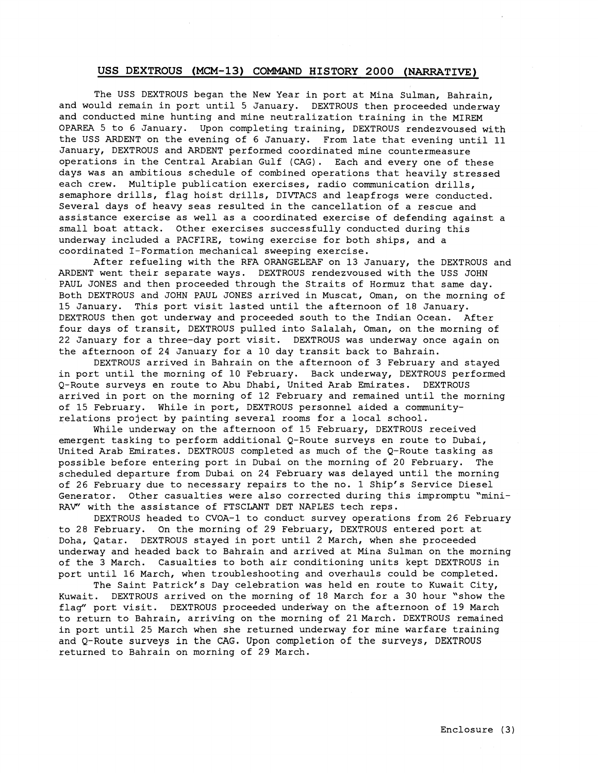The USS DEXTROUS began the New Year in port at Mina Sulman, Bahrain, and would remain in port until 5 January. DEXTROUS then proceeded underway and conducted mine hunting and mine neutralization training in the MIREM OPAREA 5 to 6 January. Upon completing training, DEXTROUS rendezvoused with the USS ARDENT on the evening of 6 January. From late that evening until 11 January, DEXTROUS and ARDENT performed coordinated mine countermeasure operations in the Central Arabian Gulf (CAG). Each and every one of these days was an ambitious schedule of combined operations that heavily stressed each crew. Multiple publication exercises, radio communication drills, semaphore drills, flag hoist drills, DIVTACS and leapfrogs were conducted. Several days of heavy seas resulted in the cancellation of a rescue and assistance exercise as well as a coordinated exercise of defending against a small boat attack. Other exercises successfully conducted during this underway included a PACFIRE, towing exercise for both ships, and a coordinated I-Formation mechanical sweeping exercise.

After refueling with the RFA ORANGELEAF on 13 January, the DEXTROUS and ARDENT went their separate ways. DEXTROUS rendezvoused with the USS JOHN PAUL JONES and then proceeded through the Straits of Hormuz that same day. Both DEXTROUS and JOHN PAUL JONES arrived in Muscat, Oman, on the morning of 15 January. This port visit lasted until the afternoon of 18 January. DEXTROUS then got underway and proceeded south to the Indian Ocean. After four days of transit, DEXTROUS pulled into Salalah, Oman, on the morning of 22 January for a three-day port visit. DEXTROUS was underway once again on the afternoon of 24 January for a 10 day transit back to Bahrain.

DEXTROUS arrived in Bahrain on the afternoon of 3 February and stayed in port until the morning of 10 February. Back underway, DEXTROUS performed Q-Route surveys en route to Abu Dhabi, United Arab Emirates. DEXTROUS arrived in port on the morning of 12 February and remained until the morning of 15 February. While in port, DEXTROUS personnel aided a communityrelations project by painting several rooms for a local school.

While underway on the afternoon of 15 February, DEXTROUS received emergent tasking to perform additional Q-Route surveys en route to Dubai, United Arab Emirates. DEXTROUS completed as much of the Q-Route tasking as possible before entering port in Dubai on the morning of 20 February. The scheduled departure from Dubai on 24 February was delayed until the morning of 26 February due to necessary repairs to the no. 1 Ship's Service Diesel Generator. Other casualties were also corrected during this impromptu 'mini-RAV' with the assistance of FTSCLANT DET NAPLES tech reps.

DEXTROUS headed to CVOA-1 to conduct survey operations from 26 February to 28 February. On the morning of 29 February, DEXTROUS entered port at Doha, Qatar. DEXTROUS stayed in port until 2 March, when she proceeded underway and headed back to Bahrain and arrived at Mina Sulman on the morning of the 3 March. Casualties to both air conditioning units kept DEXTROUS in port until 16 March, when troubleshooting and overhauls could be completed.

The Saint Patrick's Day celebration was held en route to Kuwait City, Kuwait. DEXTROUS arrived on the morning of 18 March for a 30 hour 'show the flag" port visit. DEXTROUS proceeded underway on the afternoon of 19 March to return to Bahrain, arriving on the morning of 21 March. DEXTROUS remained in port until 25 March when she returned underway for mine warfare training and Q-Route surveys in the CAG. Upon completion of the surveys, DEXTROUS returned to Bahrain on morning of 29 March.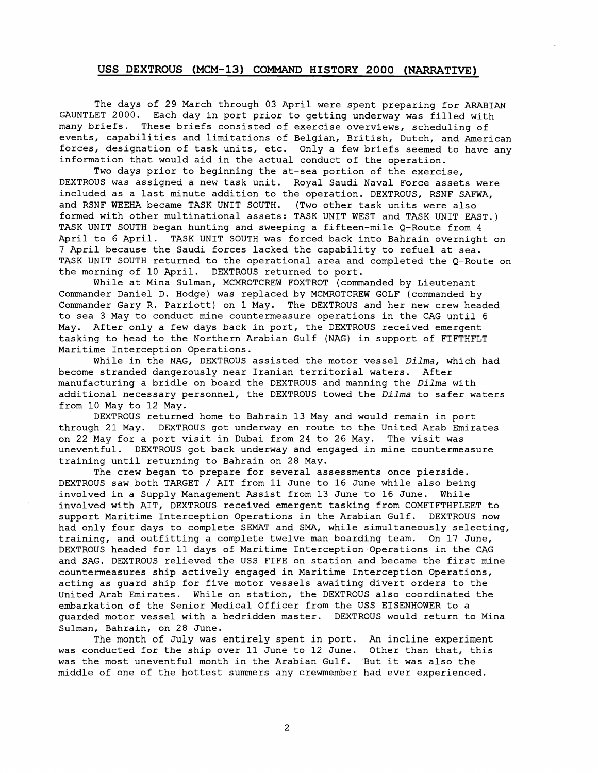The days of 29 March through 03 April were spent preparing for ARABIAN GAUNTLET 2000. Each day in port prior to getting underway was filled with many briefs. These briefs consisted of exercise overviews, scheduling of events, capabilities and limitations of Belgian, British, Dutch, and American forces, designation of task units, etc. Only a few briefs seemed to have any information that would aid in the actual conduct of the operation.

Two days prior to beginning the at-sea portion of the exercise, DEXTROUS was assigned a new task unit. Royal Saudi Naval Force assets were included as a last minute addition to the operation. DEXTROUS, RSNF SAFWA, and RSNF WEEHA became TASK UNIT SOUTH. (Two other task units were also formed with other multinational assets: TASK UNIT WEST and TASK UNIT EAST.) TASK UNIT SOUTH began hunting and sweeping a fifteen-mile Q-Route from 4 April to 6 April. TASK UNIT SOUTH was forced back into Bahrain overnight on 7 April because the Saudi forces lacked the capability to refuel at sea. TASK UNIT SOUTH returned to the operational area and completed the Q-Route on the morning of 10 April. DEXTROUS returned to port.

While at Mina Sulman, MCMROTCREW FOXTROT (commanded by Lieutenant Commander Daniel D. Hodge) was replaced by MCMROTCREW GOLF (commanded by Commander Gary R. Parriott) on 1 May. The DEXTROUS and her new crew headed to sea 3 May to conduct mine countermeasure operations in the CAG until 6 May. After only a few days back in port, the DEXTROUS received emergent tasking to head to the Northern Arabian Gulf (NAG) in support of FIFTHFLT Maritime Interception Operations.

While in the NAG, DEXTROUS assisted the motor vessel Dilma, which had become stranded dangerously near Iranian territorial waters. After manufacturing a bridle on board the DEXTROUS and manning the Dilma with additional necessary personnel, the DEXTROUS towed the Dilma to safer waters from 10 May to 12 May.

DEXTROUS returned home to Bahrain 13 May and would remain in port through 21 May. DEXTROUS got underway en route to the United Arab Emirates on 22 May for a port visit in Dubai from 24 to 26 May. The visit was uneventful. DEXTROUS got back underway and engaged in mine countermeasure training until returning to Bahrain on 28 May.

The crew began to prepare for several assessments once pierside. DEXTROUS saw both TARGET / AIT from 11 June to 16 June while also being involved in a Supply Management Assist from 13 June to 16 June. While involved with AIT, DEXTROUS received emergent tasking from COMFIFTHFLEET to support Maritime Interception Operations in the Arabian Gulf. DEXTROUS now had only four days to complete SEMAT and SMA, while simultaneously selecting, training, and outfitting a complete twelve man boarding team. On 17 June, DEXTROUS headed for 11 days of Maritime Interception Operations in the CAG and SAG. DEXTROUS relieved the USS FIFE on station and became the first mine countermeasures ship actively engaged in Maritime Interception Operations, acting as guard ship for five motor vessels awaiting divert orders to the United Arab Emirates. While on station, the DEXTROUS also coordinated the embarkation of the Senior Medical Officer from the USS EISENHOWER to a guarded motor vessel with a bedridden master. DEXTROUS would return to Mina Sulman, Bahrain, on 28 June.

The month of July was entirely spent in port. An incline experiment was conducted for the ship over 11 June to 12 June. Other than that, this was the most uneventful month in the Arabian Gulf. But it was also the middle of one of the hottest summers any crewmember had ever experienced.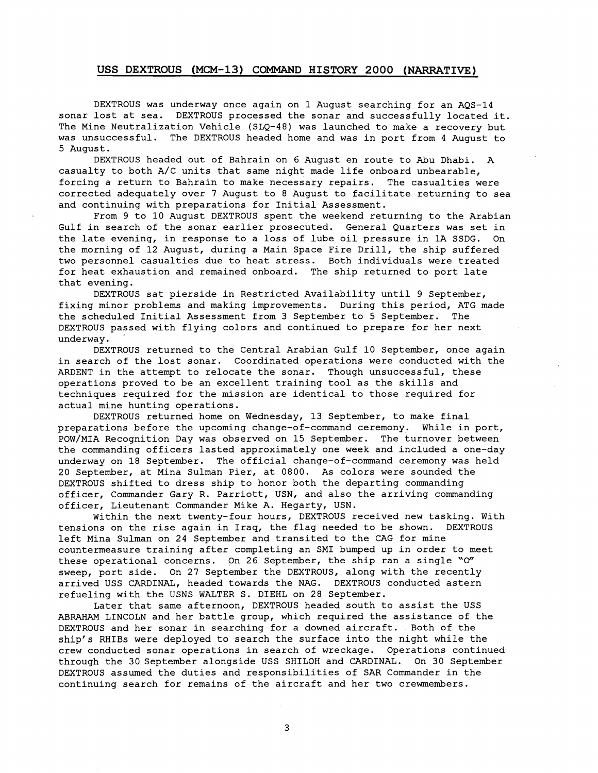DEXTROUS was underway once again on 1 August searching for an AQS-14 sonar lost at sea. DEXTROUS processed the sonar and successfully located it. The Mine Neutralization Vehicle (SLQ-48) was launched to make a recovery but was unsuccessful. The DEXTROUS headed home and was in port from 4 August to 5 August.

DEXTROUS headed out of Bahrain on 6 August en route to Abu Dhabi. A casualty to both A/C units that same night made life onboard unbearable, forcing a return to Bahrain to make necessary repairs. The casualties were corrected adequately over 7 August to 8 August to facilitate returning to sea and continuing with preparations for Initial Assessment.

From 9 to 10 August DEXTROUS spent the weekend returning to the Arabian Gulf in search of the sonar earlier prosecuted. General Quarters was set in the late evening, in response to a loss of lube oil pressure in 1A SSDG. On the morning of 12 August, during a Main Space Fire Drill, the ship suffered two personnel casualties due to heat stress. Both individuals were treated for heat exhaustion and remained onboard. The ship returned to port late that evening.

DEXTROUS sat pierside in Restricted Availability until 9 September, fixing minor problems and making improvements. During this period, ATG made the scheduled Initial Assessment from 3 September to 5 September. The DEXTROUS passed with flying colors and continued to prepare for her next underway.

DEXTROUS returned to the Central Arabian Gulf 10 September, once again in search of the lost sonar. Coordinated operations were conducted with the ARDENT in the attempt to relocate the sonar. Though unsuccessful, these operations proved to be an excellent training tool as the skills and techniques required for the mission are identical to those required for actual mine hunting operations.

DEXTROUS returned home on Wednesday, 13 September, to make final preparations before the upcoming change-of-command ceremony. While in port, POW/MIA Recognition Day was observed on 15 September. The turnover between the commanding officers lasted approximately one week and included a one-day underway on 18 September. The official change-of-command ceremony was held 20 September, at Mina Sulman Pier, at 0800. As colors were sounded the DEXTROUS shifted to dress ship to honor both the departing commanding officer, Commander Gary R. Parriott, USN, and also the arriving commanding officer, Lieutenant Commander Mike A. Hegarty, USN.

Within the next twenty-four hours, DEXTROUS received new tasking. With tensions on the rise again in Iraq, the flag needed to be shown. DEXTROUS left Mina Sulman on 24 September and transited to the CAG for mine countermeasure training after completing an SMI bumped up in order to meet these operational concerns. On 26 September, the ship ran a single " $O''$ sweep, port side. On 27 September the DEXTROUS, along with the recently arrived USS CARDINAL, headed towards the NAG. DEXTROUS conducted astern refueling with the USNS WALTER S. DIEHL on 28 September.

Later that same afternoon, DEXTROUS headed south to assist the USS ABRAHAM LINCOLN and her battle group, which required the assistance of the DEXTROUS and her sonar in searching for a downed aircraft. Both of the ship's RHIBs were deployed to search the surface into the night while the crew conducted sonar operations in search of wreckage. Operations continued through the 30 September alongside USS SHILOH and CARDINAL. On 30 September DEXTROUS assumed the duties and responsibilities of SAR Commander in the continuing search for remains of the aircraft and her two crewmembers.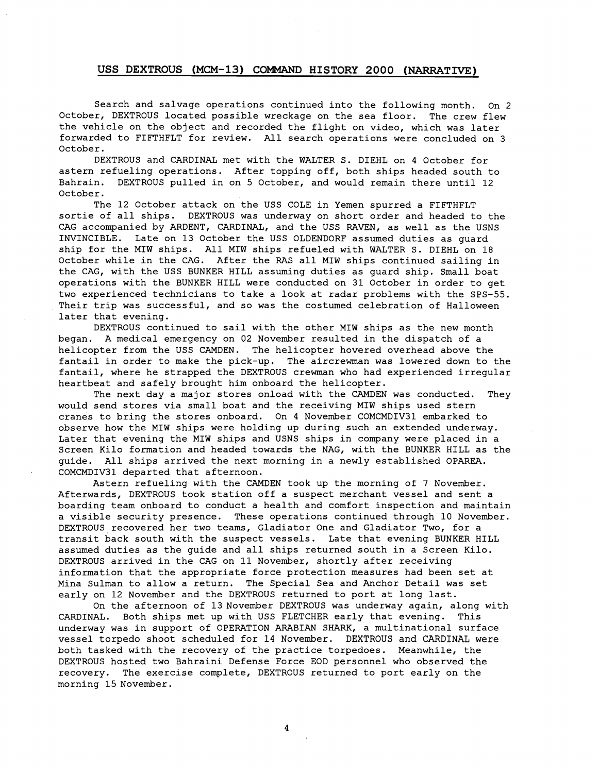Search and salvage operations continued into the following month. On 2 October, DEXTROUS located possible wreckage on the sea floor. The crew flew the vehicle on the object and recorded the flight on video, which was later forwarded to FIFTHFLT for review. All search operations were concluded on 3 October.

DEXTROUS and CARDINAL met with the WALTER S. DIEHL on 4 October for astern refueling operations. After topping off, both ships headed south to Bahrain. DEXTROUS pulled in on 5 October, and would remain there until 12 October.

The 12 October attack on the USS COLE in Yemen spurred a FIFTHFLT sortie of all ships. DEXTROUS was underway on short order and headed to the CAG accompanied by ARDENT, CARDINAL, and the USS RAVEN, as well as the USNS INVINCIBLE. Late on 13 October the USS OLDENDORF assumed duties as guard ship for the MIW ships. All MIW ships refueled with WALTER S. DIEHL on 18 October while in the CAG. After the RAS all MIW ships continued sailing in the CAG, with the USS BUNKER HILL assuming duties as guard ship. Small boat operations with the BUNKER HILL were conducted on 31 October in order to get two experienced technicians to take a look at radar problems with the SPS-55. Their trip was successful, and so was the costumed celebration of Halloween later that evening.

DEXTROUS continued to sail with the other MIW ships as the new month began. **A** medical emergency on 02 November resulted in the dispatch of a helicopter from the USS CAMDEN. The helicopter hovered overhead above the fantail in order to make the pick-up. The aircrewman was lowered down to the fantail, where he strapped the DEXTROUS crewman who had experienced irregular heartbeat and safely brought him onboard the helicopter.

The next day a major stores onload with the CAMDEN was conducted. They would send stores via small boat and the receiving MIW ships used stern cranes to bring the stores onboard. On 4 November COMCMDIV31 embarked to observe how the MIW ships were holding up during such an extended underway. Later that evening the MIW ships and USNS ships in company were placed in a Screen Kilo formation and headed towards the NAG, with the BUNKER HILL as the guide. All ships arrived the next morning in a newly established OPAREA. COMCMDIV31 departed that afternoon.

Astern refueling with the CAMDEN took up the morning of 7 November. Afterwards, DEXTROUS took station off a suspect merchant vessel and sent a boarding team onboard to conduct a health and comfort inspection and maintain a visible security presence. These operations continued through 10 November. DEXTROUS recovered her two teams, Gladiator One and Gladiator Two, for a transit back south with the suspect vessels. Late that evening BUNKER HILL assumed duties as the guide and all ships returned south in a Screen Kilo. DEXTROUS arrived in the CAG on 11 November, shortly after receiving information that the appropriate force protection measures had been set at Mina Sulman to allow a return. The Special Sea and Anchor Detail was set early on 12 November and the DEXTROUS returned to port at long last.

On the afternoon of 13 November DEXTROUS was underway again, along with CARDINAL. Both ships met up with USS FLETCHER early that evening. This underway was in support of OPERATION ARABIAN SHARK, a multinational surface vessel torpedo shoot scheduled for 14 November. **DEXTROUS** and CARDINAL were both tasked with the recovery of the practice torpedoes. Meanwhile, the DEXTROUS hosted two Bahraini Defense Force EOD personnel who observed the recovery. The exercise complete, DEXTROUS returned to port early on the morning 15 November.